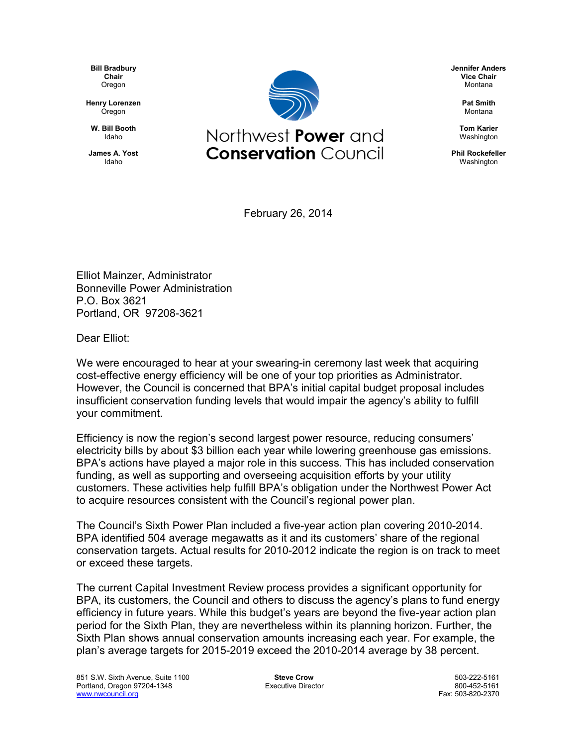**Bill Bradbury Chair Oregon** 

**Henry Lorenzen** Oregon

**W. Bill Booth** Idaho

**James A. Yost** Idaho



**Jennifer Anders Vice Chair** Montana

> **Pat Smith** Montana

**Tom Karier** Washington

**Phil Rockefeller** Washington

February 26, 2014

Elliot Mainzer, Administrator Bonneville Power Administration P.O. Box 3621 Portland, OR 97208-3621

Dear Elliot:

We were encouraged to hear at your swearing-in ceremony last week that acquiring cost-effective energy efficiency will be one of your top priorities as Administrator. However, the Council is concerned that BPA's initial capital budget proposal includes insufficient conservation funding levels that would impair the agency's ability to fulfill your commitment.

Efficiency is now the region's second largest power resource, reducing consumers' electricity bills by about \$3 billion each year while lowering greenhouse gas emissions. BPA's actions have played a major role in this success. This has included conservation funding, as well as supporting and overseeing acquisition efforts by your utility customers. These activities help fulfill BPA's obligation under the Northwest Power Act to acquire resources consistent with the Council's regional power plan.

The Council's Sixth Power Plan included a five-year action plan covering 2010-2014. BPA identified 504 average megawatts as it and its customers' share of the regional conservation targets. Actual results for 2010-2012 indicate the region is on track to meet or exceed these targets.

The current Capital Investment Review process provides a significant opportunity for BPA, its customers, the Council and others to discuss the agency's plans to fund energy efficiency in future years. While this budget's years are beyond the five-year action plan period for the Sixth Plan, they are nevertheless within its planning horizon. Further, the Sixth Plan shows annual conservation amounts increasing each year. For example, the plan's average targets for 2015-2019 exceed the 2010-2014 average by 38 percent.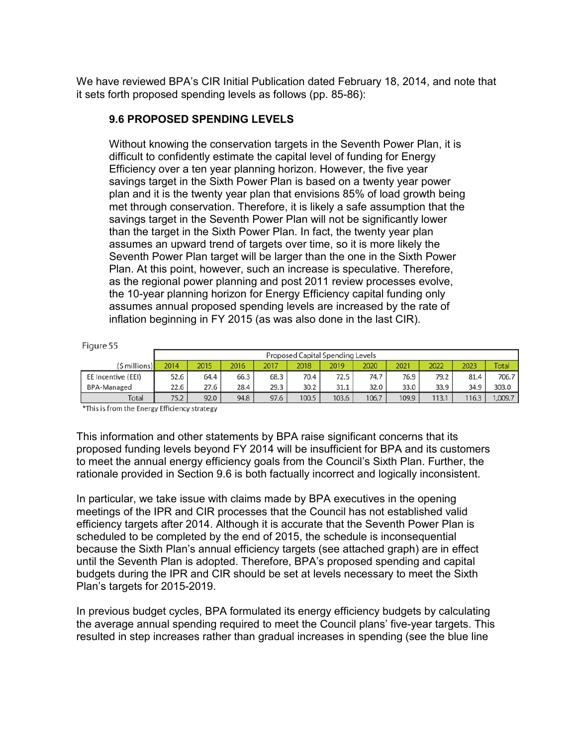We have reviewed BPA's CIR Initial Publication dated February 18, 2014, and note that it sets forth proposed spending levels as follows (pp. 85-86):

## **9.6 PROPOSED SPENDING LEVELS**

Without knowing the conservation targets in the Seventh Power Plan, it is difficult to confidently estimate the capital level of funding for Energy Efficiency over a ten year planning horizon. However, the five year savings target in the Sixth Power Plan is based on a twenty year power plan and it is the twenty year plan that envisions 85% of load growth being met through conservation. Therefore, it is likely a safe assumption that the savings target in the Seventh Power Plan will not be significantly lower than the target in the Sixth Power Plan. In fact, the twenty year plan assumes an upward trend of targets over time, so it is more likely the Seventh Power Plan target will be larger than the one in the Sixth Power Plan. At this point, however, such an increase is speculative. Therefore, as the regional power planning and post 2011 review processes evolve, the 10-year planning horizon for Energy Efficiency capital funding only assumes annual proposed spending levels are increased by the rate of inflation beginning in FY 2015 (as was also done in the last CIR).

| r iddi c h         |                                  |      |      |      |       |       |       |       |       |       |              |
|--------------------|----------------------------------|------|------|------|-------|-------|-------|-------|-------|-------|--------------|
|                    | Proposed Capital Spending Levels |      |      |      |       |       |       |       |       |       |              |
| (\$ millions)      | 2014                             | 2015 | 2016 | 2017 | 2018  | 2019  | 2020  | 2021  | 2022  | 2023  | <b>Total</b> |
| EE Incentive (EEI) | 52.6                             | 64.4 | 66.3 | 68.3 | 70.4  | 72.5  | 74.7  | 76.9  | 79.2  | 81.4  | 706.7        |
| <b>BPA-Managed</b> | 22.6                             | 27.6 | 28.4 | 29.3 | 30.2  | 31.1  | 32.0  | 33.0  | 33.9  | 34.9  | 303.0        |
| Total              | 75.2                             | 92.0 | 94.8 | 97.6 | 100.5 | 103.6 | 106.7 | 109.9 | 113.1 | 116.3 | ,009.7       |

\*This is from the Energy Efficiency strategy

 $Eicure55$ 

This information and other statements by BPA raise significant concerns that its proposed funding levels beyond FY 2014 will be insufficient for BPA and its customers to meet the annual energy efficiency goals from the Council's Sixth Plan. Further, the rationale provided in Section 9.6 is both factually incorrect and logically inconsistent.

In particular, we take issue with claims made by BPA executives in the opening meetings of the IPR and CIR processes that the Council has not established valid efficiency targets after 2014. Although it is accurate that the Seventh Power Plan is scheduled to be completed by the end of 2015, the schedule is inconsequential because the Sixth Plan's annual efficiency targets (see attached graph) are in effect until the Seventh Plan is adopted. Therefore, BPA's proposed spending and capital budgets during the IPR and CIR should be set at levels necessary to meet the Sixth Plan's targets for 2015-2019.

In previous budget cycles, BPA formulated its energy efficiency budgets by calculating the average annual spending required to meet the Council plans' five-year targets. This resulted in step increases rather than gradual increases in spending (see the blue line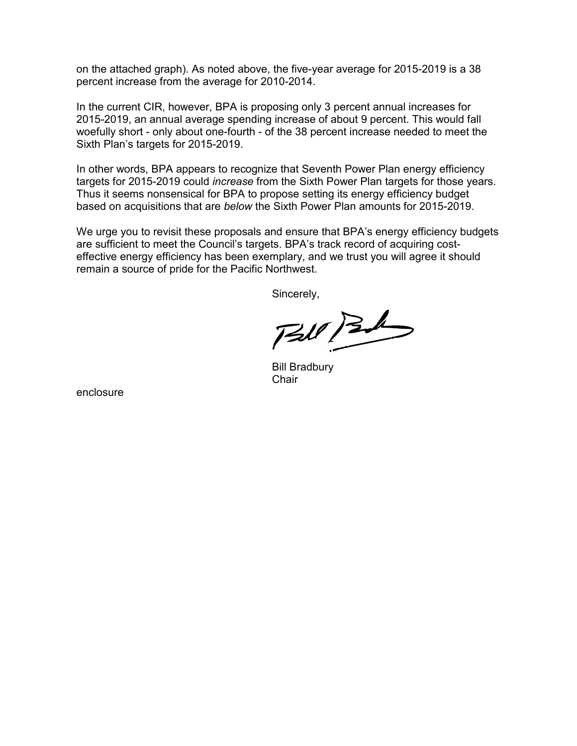on the attached graph). As noted above, the five-year average for 2015-2019 is a 38 percent increase from the average for 2010-2014.

In the current CIR, however, BPA is proposing only 3 percent annual increases for 2015-2019, an annual average spending increase of about 9 percent. This would fall woefully short - only about one-fourth - of the 38 percent increase needed to meet the Sixth Plan's targets for 2015-2019.

In other words, BPA appears to recognize that Seventh Power Plan energy efficiency targets for 2015-2019 could *increase* from the Sixth Power Plan targets for those years. Thus it seems nonsensical for BPA to propose setting its energy efficiency budget based on acquisitions that are *below* the Sixth Power Plan amounts for 2015-2019.

We urge you to revisit these proposals and ensure that BPA's energy efficiency budgets are sufficient to meet the Council's targets. BPA's track record of acquiring costeffective energy efficiency has been exemplary, and we trust you will agree it should remain a source of pride for the Pacific Northwest.

Sincerely,

 $730/36$ 

Bill Bradbury **Chair** 

enclosure